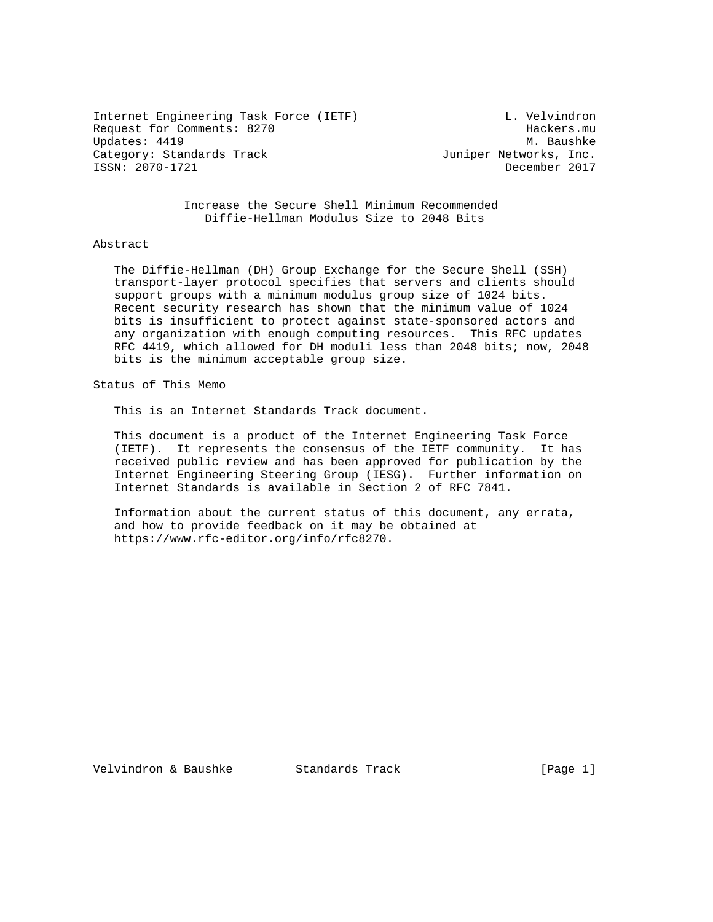Internet Engineering Task Force (IETF) and L. Velvindron Request for Comments: 8270 Hackers.mu Updates: 4419 Category: Standards Track and the Category: Standards Track Juniper Networks, Inc. ISSN: 2070-1721 December 2017

 Increase the Secure Shell Minimum Recommended Diffie-Hellman Modulus Size to 2048 Bits

# Abstract

 The Diffie-Hellman (DH) Group Exchange for the Secure Shell (SSH) transport-layer protocol specifies that servers and clients should support groups with a minimum modulus group size of 1024 bits. Recent security research has shown that the minimum value of 1024 bits is insufficient to protect against state-sponsored actors and any organization with enough computing resources. This RFC updates RFC 4419, which allowed for DH moduli less than 2048 bits; now, 2048 bits is the minimum acceptable group size.

Status of This Memo

This is an Internet Standards Track document.

 This document is a product of the Internet Engineering Task Force (IETF). It represents the consensus of the IETF community. It has received public review and has been approved for publication by the Internet Engineering Steering Group (IESG). Further information on Internet Standards is available in Section 2 of RFC 7841.

 Information about the current status of this document, any errata, and how to provide feedback on it may be obtained at https://www.rfc-editor.org/info/rfc8270.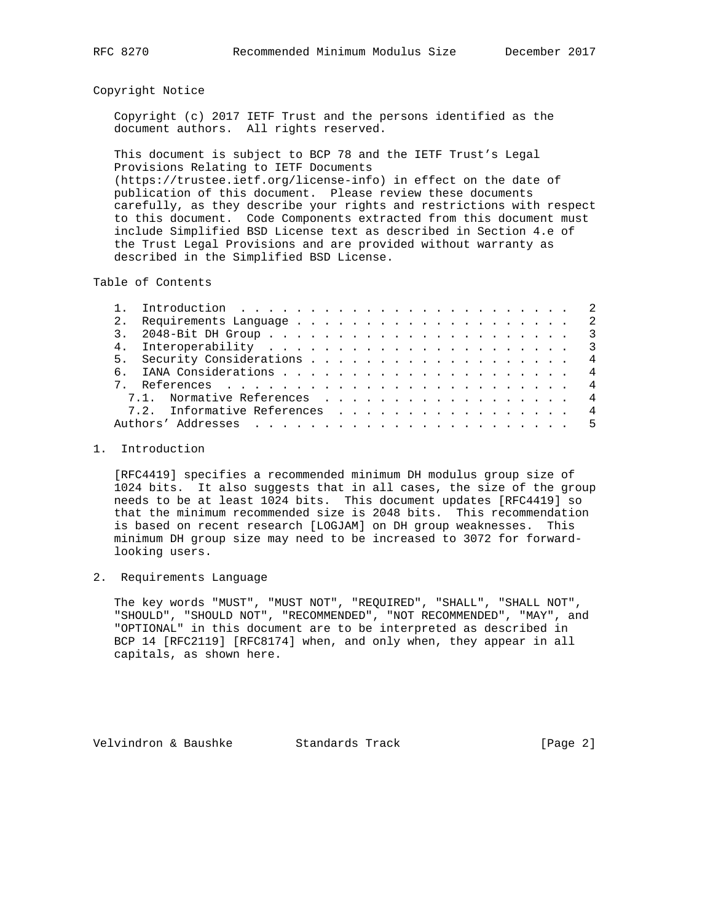## Copyright Notice

 Copyright (c) 2017 IETF Trust and the persons identified as the document authors. All rights reserved.

 This document is subject to BCP 78 and the IETF Trust's Legal Provisions Relating to IETF Documents (https://trustee.ietf.org/license-info) in effect on the date of publication of this document. Please review these documents carefully, as they describe your rights and restrictions with respect to this document. Code Components extracted from this document must include Simplified BSD License text as described in Section 4.e of the Trust Legal Provisions and are provided without warranty as described in the Simplified BSD License.

Table of Contents

|  | 5. Security Considerations 4  |  |
|--|-------------------------------|--|
|  |                               |  |
|  |                               |  |
|  | 7.1. Normative References 4   |  |
|  | 7.2. Informative References 4 |  |
|  |                               |  |
|  |                               |  |

# 1. Introduction

 [RFC4419] specifies a recommended minimum DH modulus group size of 1024 bits. It also suggests that in all cases, the size of the group needs to be at least 1024 bits. This document updates [RFC4419] so that the minimum recommended size is 2048 bits. This recommendation is based on recent research [LOGJAM] on DH group weaknesses. This minimum DH group size may need to be increased to 3072 for forward looking users.

# 2. Requirements Language

 The key words "MUST", "MUST NOT", "REQUIRED", "SHALL", "SHALL NOT", "SHOULD", "SHOULD NOT", "RECOMMENDED", "NOT RECOMMENDED", "MAY", and "OPTIONAL" in this document are to be interpreted as described in BCP 14 [RFC2119] [RFC8174] when, and only when, they appear in all capitals, as shown here.

Velvindron & Baushke Standards Track (Page 2)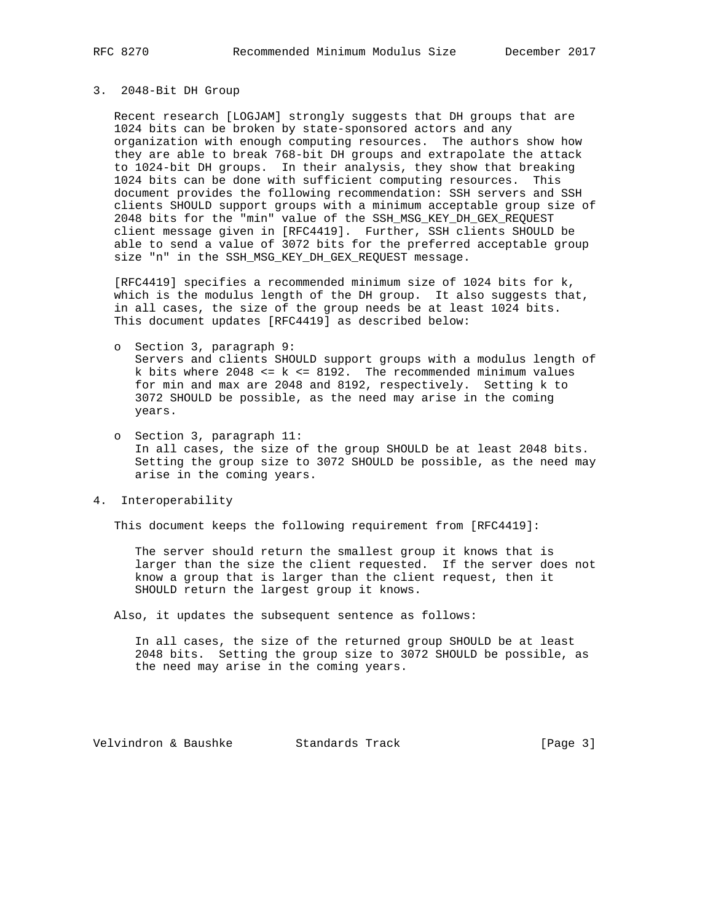#### 3. 2048-Bit DH Group

 Recent research [LOGJAM] strongly suggests that DH groups that are 1024 bits can be broken by state-sponsored actors and any organization with enough computing resources. The authors show how they are able to break 768-bit DH groups and extrapolate the attack to 1024-bit DH groups. In their analysis, they show that breaking 1024 bits can be done with sufficient computing resources. This document provides the following recommendation: SSH servers and SSH clients SHOULD support groups with a minimum acceptable group size of 2048 bits for the "min" value of the SSH\_MSG\_KEY\_DH\_GEX\_REQUEST client message given in [RFC4419]. Further, SSH clients SHOULD be able to send a value of 3072 bits for the preferred acceptable group size "n" in the SSH\_MSG\_KEY\_DH\_GEX\_REQUEST message.

 [RFC4419] specifies a recommended minimum size of 1024 bits for k, which is the modulus length of the DH group. It also suggests that, in all cases, the size of the group needs be at least 1024 bits. This document updates [RFC4419] as described below:

- o Section 3, paragraph 9: Servers and clients SHOULD support groups with a modulus length of k bits where  $2048 \le k \le 8192$ . The recommended minimum values for min and max are 2048 and 8192, respectively. Setting k to 3072 SHOULD be possible, as the need may arise in the coming years.
- o Section 3, paragraph 11: In all cases, the size of the group SHOULD be at least 2048 bits. Setting the group size to 3072 SHOULD be possible, as the need may arise in the coming years.
- 4. Interoperability

This document keeps the following requirement from [RFC4419]:

 The server should return the smallest group it knows that is larger than the size the client requested. If the server does not know a group that is larger than the client request, then it SHOULD return the largest group it knows.

Also, it updates the subsequent sentence as follows:

 In all cases, the size of the returned group SHOULD be at least 2048 bits. Setting the group size to 3072 SHOULD be possible, as the need may arise in the coming years.

Velvindron & Baushke Standards Track (Page 3)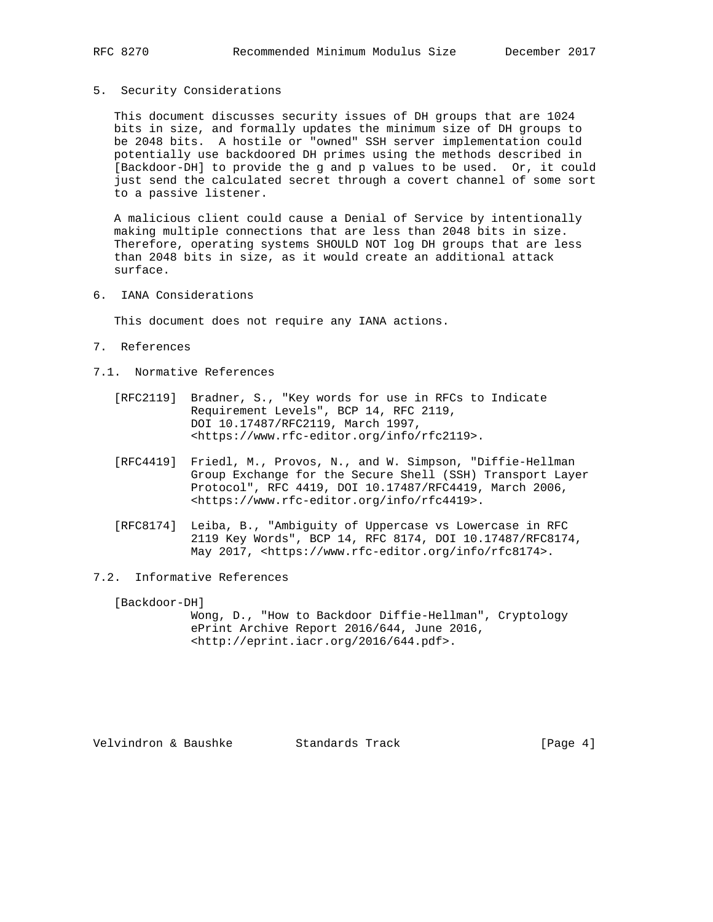### 5. Security Considerations

 This document discusses security issues of DH groups that are 1024 bits in size, and formally updates the minimum size of DH groups to be 2048 bits. A hostile or "owned" SSH server implementation could potentially use backdoored DH primes using the methods described in [Backdoor-DH] to provide the g and p values to be used. Or, it could just send the calculated secret through a covert channel of some sort to a passive listener.

 A malicious client could cause a Denial of Service by intentionally making multiple connections that are less than 2048 bits in size. Therefore, operating systems SHOULD NOT log DH groups that are less than 2048 bits in size, as it would create an additional attack surface.

6. IANA Considerations

This document does not require any IANA actions.

- 7. References
- 7.1. Normative References
	- [RFC2119] Bradner, S., "Key words for use in RFCs to Indicate Requirement Levels", BCP 14, RFC 2119, DOI 10.17487/RFC2119, March 1997, <https://www.rfc-editor.org/info/rfc2119>.
	- [RFC4419] Friedl, M., Provos, N., and W. Simpson, "Diffie-Hellman Group Exchange for the Secure Shell (SSH) Transport Layer Protocol", RFC 4419, DOI 10.17487/RFC4419, March 2006, <https://www.rfc-editor.org/info/rfc4419>.
	- [RFC8174] Leiba, B., "Ambiguity of Uppercase vs Lowercase in RFC 2119 Key Words", BCP 14, RFC 8174, DOI 10.17487/RFC8174, May 2017, <https://www.rfc-editor.org/info/rfc8174>.
- 7.2. Informative References

[Backdoor-DH]

 Wong, D., "How to Backdoor Diffie-Hellman", Cryptology ePrint Archive Report 2016/644, June 2016, <http://eprint.iacr.org/2016/644.pdf>.